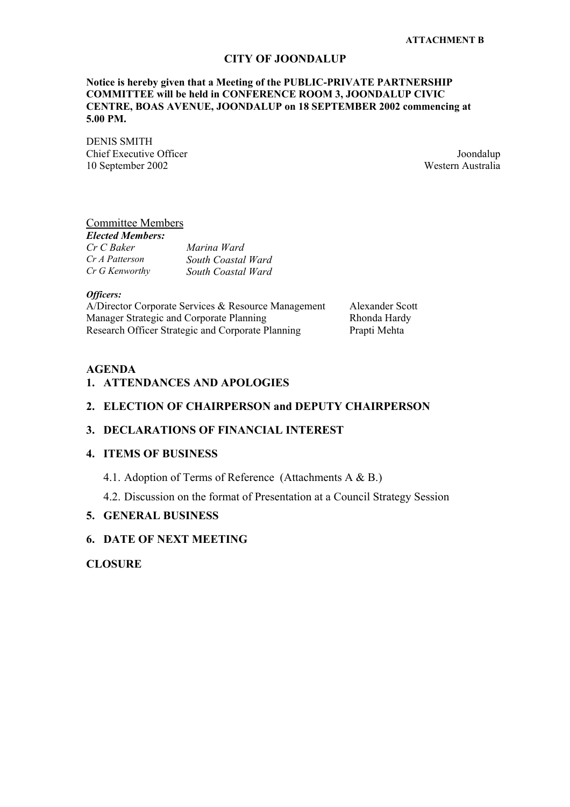#### **CITY OF JOONDALUP**

#### **Notice is hereby given that a Meeting of the PUBLIC-PRIVATE PARTNERSHIP COMMITTEE will be held in CONFERENCE ROOM 3, JOONDALUP CIVIC CENTRE, BOAS AVENUE, JOONDALUP on 18 SEPTEMBER 2002 commencing at 5.00 PM.**

DENIS SMITH **Chief Executive Officer** Joondalup 10 September 2002 Western Australia

#### Committee Members

#### *Elected Members:*

| Cr C Baker     | Marina Ward        |
|----------------|--------------------|
| Cr A Patterson | South Coastal Ward |
| Cr G Kenworthy | South Coastal Ward |

### *Officers:*

A/Director Corporate Services & Resource Management Alexander Scott Manager Strategic and Corporate Planning Rhonda Hardy Research Officer Strategic and Corporate Planning Prapti Mehta

#### **AGENDA**

#### **1. ATTENDANCES AND APOLOGIES**

#### **2. ELECTION OF CHAIRPERSON and DEPUTY CHAIRPERSON**

#### **3. DECLARATIONS OF FINANCIAL INTEREST**

### **4. ITEMS OF BUSINESS**

4.1. Adoption of Terms of Reference (Attachments A & B.)

4.2. Discussion on the format of Presentation at a Council Strategy Session

#### **5. GENERAL BUSINESS**

#### **6. DATE OF NEXT MEETING**

### **CLOSURE**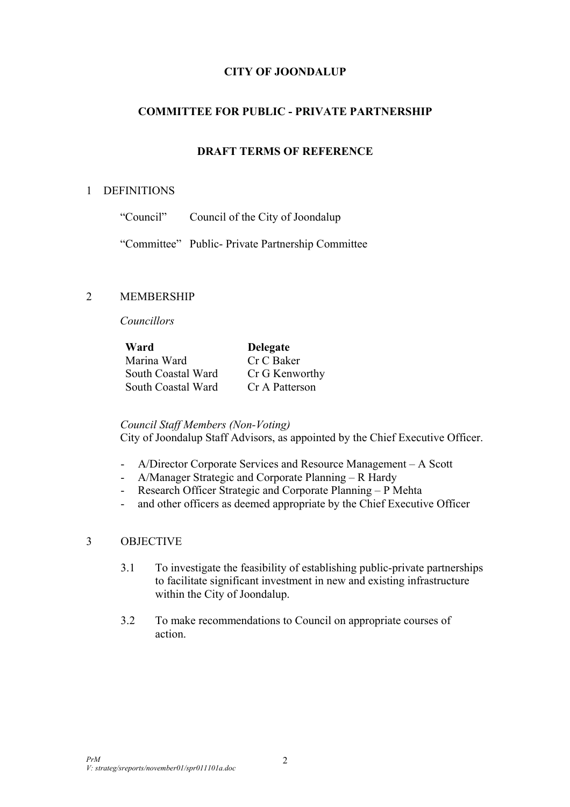# **CITY OF JOONDALUP**

## **COMMITTEE FOR PUBLIC - PRIVATE PARTNERSHIP**

## **DRAFT TERMS OF REFERENCE**

### 1 DEFINITIONS

| "Council" | Council of the City of Joondalup |
|-----------|----------------------------------|
|-----------|----------------------------------|

"Committee" Public- Private Partnership Committee

### 2 MEMBERSHIP

*Councillors* 

**Ward Delegate**  Marina Ward Cr C Baker South Coastal Ward Cr G Kenworthy South Coastal Ward Cr A Patterson

### *Council Staff Members (Non-Voting)*

City of Joondalup Staff Advisors, as appointed by the Chief Executive Officer.

- A/Director Corporate Services and Resource Management A Scott
- A/Manager Strategic and Corporate Planning R Hardy
- Research Officer Strategic and Corporate Planning P Mehta
- and other officers as deemed appropriate by the Chief Executive Officer

## 3 OBJECTIVE

- 3.1 To investigate the feasibility of establishing public-private partnerships to facilitate significant investment in new and existing infrastructure within the City of Joondalup.
- 3.2 To make recommendations to Council on appropriate courses of action.